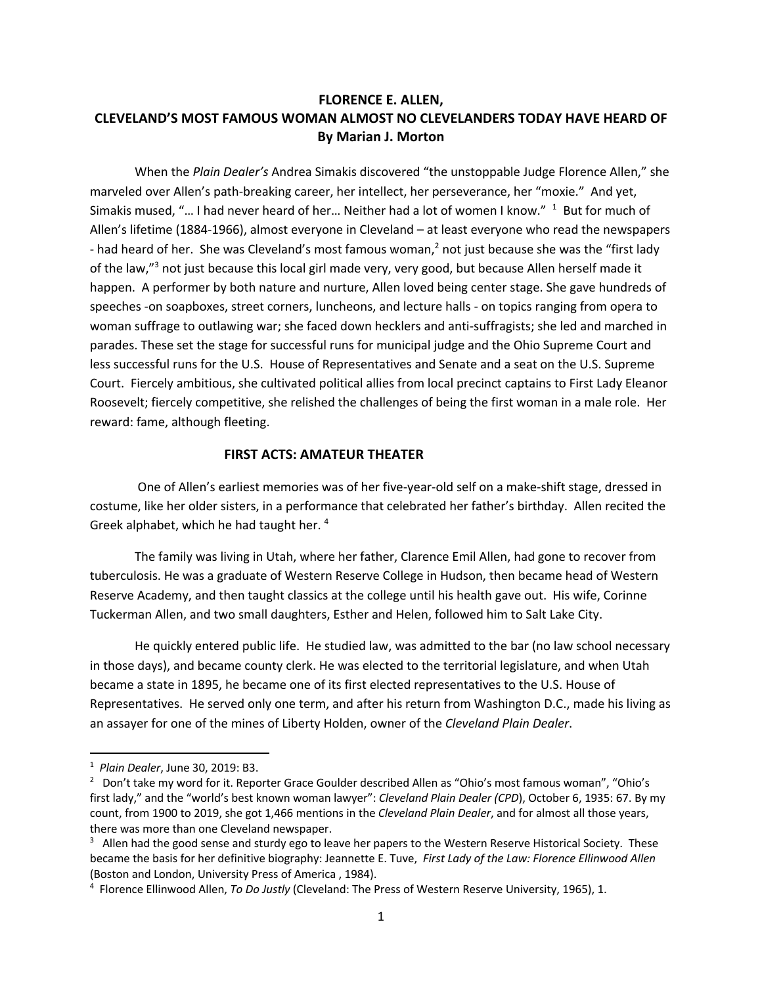# **FLORENCE E. ALLEN, CLEVELAND'S MOST FAMOUS WOMAN ALMOST NO CLEVELANDERS TODAY HAVE HEARD OF By Marian J. Morton**

When the *Plain Dealer's* Andrea Simakis discovered "the unstoppable Judge Florence Allen," she marveled over Allen's path-breaking career, her intellect, her perseverance, her "moxie." And yet, Simakis mused, "... I had never heard of her... Neither had a lot of women I know."  $1$  But for much of Allen's lifetime (1884-1966), almost everyone in Cleveland – at least everyone who read the newspapers - had heard of her. She was Cleveland's most famous woman,<sup>2</sup> not just because she was the "first lady of the law,"<sup>3</sup> not just because this local girl made very, very good, but because Allen herself made it happen. A performer by both nature and nurture, Allen loved being center stage. She gave hundreds of speeches -on soapboxes, street corners, luncheons, and lecture halls - on topics ranging from opera to woman suffrage to outlawing war; she faced down hecklers and anti-suffragists; she led and marched in parades. These set the stage for successful runs for municipal judge and the Ohio Supreme Court and less successful runs for the U.S. House of Representatives and Senate and a seat on the U.S. Supreme Court. Fiercely ambitious, she cultivated political allies from local precinct captains to First Lady Eleanor Roosevelt; fiercely competitive, she relished the challenges of being the first woman in a male role. Her reward: fame, although fleeting.

### **FIRST ACTS: AMATEUR THEATER**

One of Allen's earliest memories was of her five-year-old self on a make-shift stage, dressed in costume, like her older sisters, in a performance that celebrated her father's birthday. Allen recited the Greek alphabet, which he had taught her. <sup>4</sup>

The family was living in Utah, where her father, Clarence Emil Allen, had gone to recover from tuberculosis. He was a graduate of Western Reserve College in Hudson, then became head of Western Reserve Academy, and then taught classics at the college until his health gave out. His wife, Corinne Tuckerman Allen, and two small daughters, Esther and Helen, followed him to Salt Lake City.

He quickly entered public life. He studied law, was admitted to the bar (no law school necessary in those days), and became county clerk. He was elected to the territorial legislature, and when Utah became a state in 1895, he became one of its first elected representatives to the U.S. House of Representatives. He served only one term, and after his return from Washington D.C., made his living as an assayer for one of the mines of Liberty Holden, owner of the *Cleveland Plain Dealer*.

<sup>1</sup> *Plain Dealer*, June 30, 2019: B3.

<sup>&</sup>lt;sup>2</sup> Don't take my word for it. Reporter Grace Goulder described Allen as "Ohio's most famous woman", "Ohio's first lady," and the "world's best known woman lawyer": *Cleveland Plain Dealer (CPD*), October 6, 1935: 67. By my count, from 1900 to 2019, she got 1,466 mentions in the *Cleveland Plain Dealer*, and for almost all those years, there was more than one Cleveland newspaper.

<sup>&</sup>lt;sup>3</sup> Allen had the good sense and sturdy ego to leave her papers to the Western Reserve Historical Society. These became the basis for her definitive biography: Jeannette E. Tuve, *First Lady of the Law: Florence Ellinwood Allen* (Boston and London, University Press of America, 1984).

Florence Ellinwood Allen, *To Do Justly* (Cleveland: The Press of Western Reserve University, 1965), 1.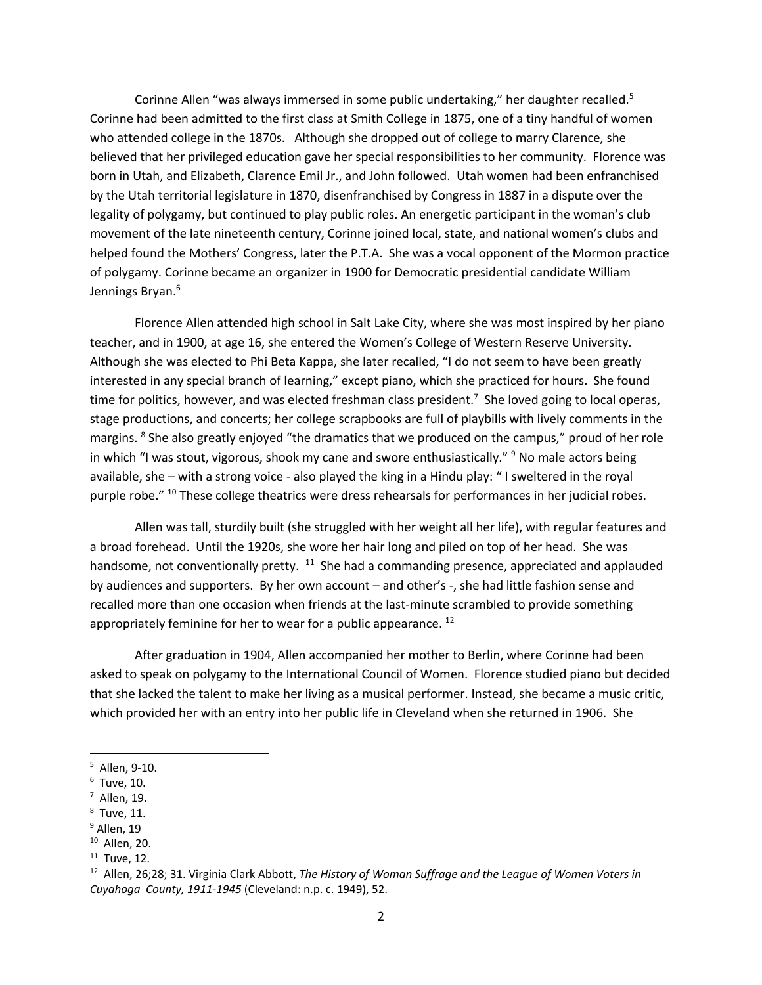Corinne Allen "was always immersed in some public undertaking," her daughter recalled.<sup>5</sup> Corinne had been admitted to the first class at Smith College in 1875, one of a tiny handful of women who attended college in the 1870s. Although she dropped out of college to marry Clarence, she believed that her privileged education gave her special responsibilities to her community. Florence was born in Utah, and Elizabeth, Clarence Emil Jr., and John followed. Utah women had been enfranchised by the Utah territorial legislature in 1870, disenfranchised by Congress in 1887 in a dispute over the legality of polygamy, but continued to play public roles. An energetic participant in the woman's club movement of the late nineteenth century, Corinne joined local, state, and national women's clubs and helped found the Mothers' Congress, later the P.T.A. She was a vocal opponent of the Mormon practice of polygamy. Corinne became an organizer in 1900 for Democratic presidential candidate William Jennings Bryan.<sup>6</sup>

Florence Allen attended high school in Salt Lake City, where she was most inspired by her piano teacher, and in 1900, at age 16, she entered the Women's College of Western Reserve University. Although she was elected to Phi Beta Kappa, she later recalled, "I do not seem to have been greatly interested in any special branch of learning," except piano, which she practiced for hours. She found time for politics, however, and was elected freshman class president.<sup>7</sup> She loved going to local operas, stage productions, and concerts; her college scrapbooks are full of playbills with lively comments in the margins. <sup>8</sup> She also greatly enjoyed "the dramatics that we produced on the campus," proud of her role in which "I was stout, vigorous, shook my cane and swore enthusiastically."  $9$  No male actors being available, she – with a strong voice - also played the king in a Hindu play: " I sweltered in the royal purple robe." 10 These college theatrics were dress rehearsals for performances in her judicial robes.

Allen was tall, sturdily built (she struggled with her weight all her life), with regular features and a broad forehead. Until the 1920s, she wore her hair long and piled on top of her head. She was handsome, not conventionally pretty. <sup>11</sup> She had a commanding presence, appreciated and applauded by audiences and supporters. By her own account – and other's -, she had little fashion sense and recalled more than one occasion when friends at the last-minute scrambled to provide something appropriately feminine for her to wear for a public appearance.<sup>12</sup>

After graduation in 1904, Allen accompanied her mother to Berlin, where Corinne had been asked to speak on polygamy to the International Council of Women. Florence studied piano but decided that she lacked the talent to make her living as a musical performer. Instead, she became a music critic, which provided her with an entry into her public life in Cleveland when she returned in 1906. She

 $^8$  Tuve, 11.

<sup>5</sup> Allen, 9-10.

 $<sup>6</sup>$  Tuve, 10.</sup>

<sup>7</sup> Allen, 19.

<sup>&</sup>lt;sup>9</sup> Allen, 19

<sup>10</sup> Allen, 20.

<sup>&</sup>lt;sup>11</sup> Tuve, 12.<br><sup>12</sup> Allen, 26;28; 31. Virginia Clark Abbott, *The History of Woman Suffrage and the League of Women Voters in Cuyahoga County, 1911-1945* (Cleveland: n.p. c. 1949), 52.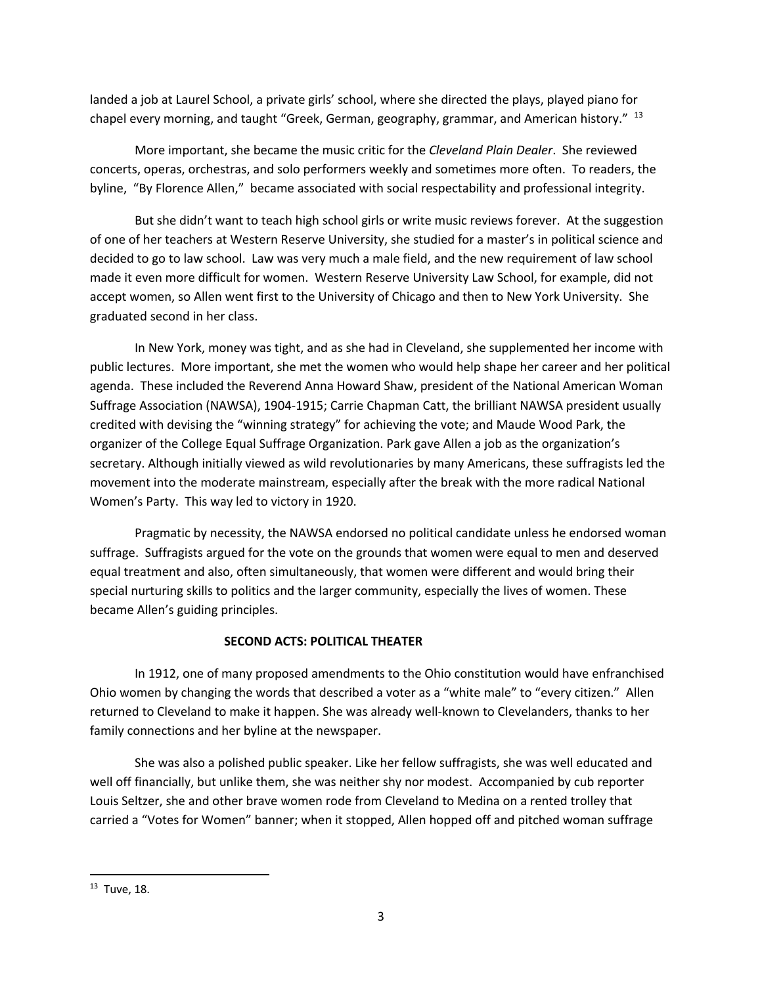landed a job at Laurel School, a private girls' school, where she directed the plays, played piano for chapel every morning, and taught "Greek, German, geography, grammar, and American history." <sup>13</sup>

More important, she became the music critic for the *Cleveland Plain Dealer*. She reviewed concerts, operas, orchestras, and solo performers weekly and sometimes more often. To readers, the byline, "By Florence Allen," became associated with social respectability and professional integrity.

But she didn't want to teach high school girls or write music reviews forever. At the suggestion of one of her teachers at Western Reserve University, she studied for a master's in political science and decided to go to law school. Law was very much a male field, and the new requirement of law school made it even more difficult for women. Western Reserve University Law School, for example, did not accept women, so Allen went first to the University of Chicago and then to New York University. She graduated second in her class.

In New York, money was tight, and as she had in Cleveland, she supplemented her income with public lectures. More important, she met the women who would help shape her career and her political agenda. These included the Reverend Anna Howard Shaw, president of the National American Woman Suffrage Association (NAWSA), 1904-1915; Carrie Chapman Catt, the brilliant NAWSA president usually credited with devising the "winning strategy" for achieving the vote; and Maude Wood Park, the organizer of the College Equal Suffrage Organization. Park gave Allen a job as the organization's secretary. Although initially viewed as wild revolutionaries by many Americans, these suffragists led the movement into the moderate mainstream, especially after the break with the more radical National Women's Party. This way led to victory in 1920.

Pragmatic by necessity, the NAWSA endorsed no political candidate unless he endorsed woman suffrage. Suffragists argued for the vote on the grounds that women were equal to men and deserved equal treatment and also, often simultaneously, that women were different and would bring their special nurturing skills to politics and the larger community, especially the lives of women. These became Allen's guiding principles.

## **SECOND ACTS: POLITICAL THEATER**

In 1912, one of many proposed amendments to the Ohio constitution would have enfranchised Ohio women by changing the words that described a voter as a "white male" to "every citizen." Allen returned to Cleveland to make it happen. She was already well-known to Clevelanders, thanks to her family connections and her byline at the newspaper.

She was also a polished public speaker. Like her fellow suffragists, she was well educated and well off financially, but unlike them, she was neither shy nor modest. Accompanied by cub reporter Louis Seltzer, she and other brave women rode from Cleveland to Medina on a rented trolley that carried a "Votes for Women" banner; when it stopped, Allen hopped off and pitched woman suffrage

<sup>13</sup> Tuve, 18.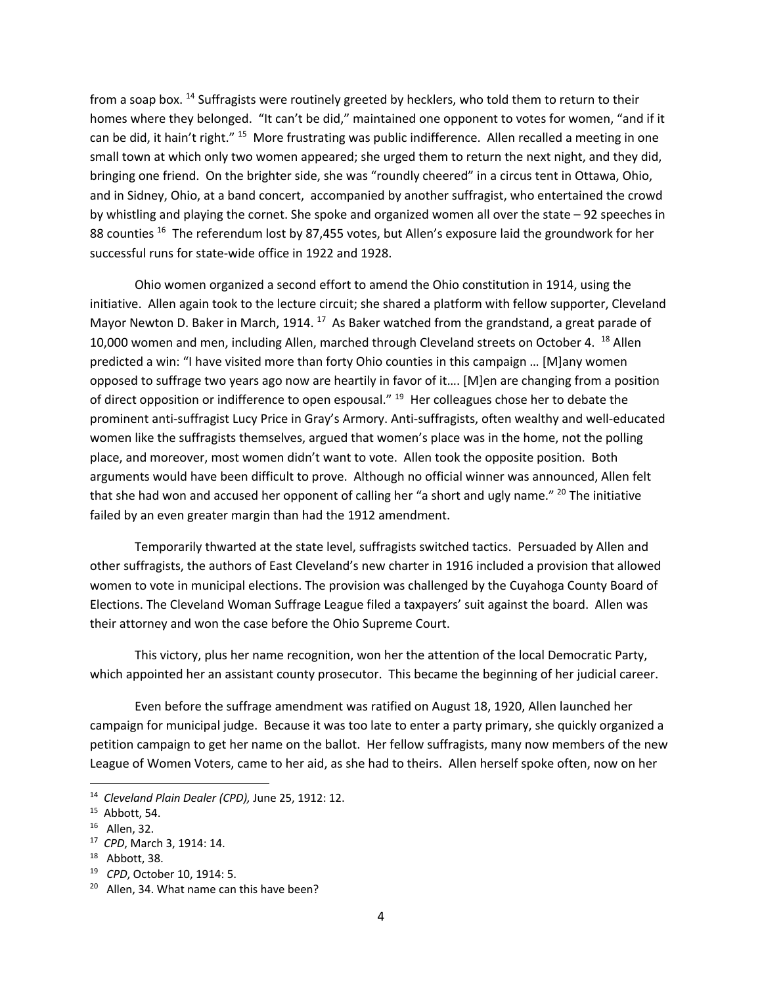from a soap box. <sup>14</sup> Suffragists were routinely greeted by hecklers, who told them to return to their homes where they belonged. "It can't be did," maintained one opponent to votes for women, "and if it can be did, it hain't right." 15 More frustrating was public indifference. Allen recalled a meeting in one small town at which only two women appeared; she urged them to return the next night, and they did, bringing one friend. On the brighter side, she was "roundly cheered" in a circus tent in Ottawa, Ohio, and in Sidney, Ohio, at a band concert, accompanied by another suffragist, who entertained the crowd by whistling and playing the cornet. She spoke and organized women all over the state – 92 speeches in 88 counties <sup>16</sup> The referendum lost by 87,455 votes, but Allen's exposure laid the groundwork for her successful runs for state-wide office in 1922 and 1928.

Ohio women organized a second effort to amend the Ohio constitution in 1914, using the initiative. Allen again took to the lecture circuit; she shared a platform with fellow supporter, Cleveland Mayor Newton D. Baker in March, 1914.  $^{17}$  As Baker watched from the grandstand, a great parade of 10,000 women and men, including Allen, marched through Cleveland streets on October 4. <sup>18</sup> Allen predicted a win: "I have visited more than forty Ohio counties in this campaign … [M]any women opposed to suffrage two years ago now are heartily in favor of it…. [M]en are changing from a position of direct opposition or indifference to open espousal." <sup>19</sup> Her colleagues chose her to debate the prominent anti-suffragist Lucy Price in Gray's Armory. Anti-suffragists, often wealthy and well-educated women like the suffragists themselves, argued that women's place was in the home, not the polling place, and moreover, most women didn't want to vote. Allen took the opposite position. Both arguments would have been difficult to prove. Although no official winner was announced, Allen felt that she had won and accused her opponent of calling her "a short and ugly name." <sup>20</sup> The initiative failed by an even greater margin than had the 1912 amendment.

Temporarily thwarted at the state level, suffragists switched tactics. Persuaded by Allen and other suffragists, the authors of East Cleveland's new charter in 1916 included a provision that allowed women to vote in municipal elections. The provision was challenged by the Cuyahoga County Board of Elections. The Cleveland Woman Suffrage League filed a taxpayers' suit against the board. Allen was their attorney and won the case before the Ohio Supreme Court.

This victory, plus her name recognition, won her the attention of the local Democratic Party, which appointed her an assistant county prosecutor. This became the beginning of her judicial career.

Even before the suffrage amendment was ratified on August 18, 1920, Allen launched her campaign for municipal judge. Because it was too late to enter a party primary, she quickly organized a petition campaign to get her name on the ballot. Her fellow suffragists, many now members of the new League of Women Voters, came to her aid, as she had to theirs. Allen herself spoke often, now on her

<sup>14</sup> *Cleveland Plain Dealer (CPD),* June 25, 1912: 12.

 $15$  Abbott, 54.<br> $16$  Allen, 32.

<sup>17</sup> *CPD*, March 3, 1914: 14.

<sup>18</sup> Abbott, 38. 19 *CPD*, October 10, 1914: 5.

<sup>&</sup>lt;sup>20</sup> Allen, 34. What name can this have been?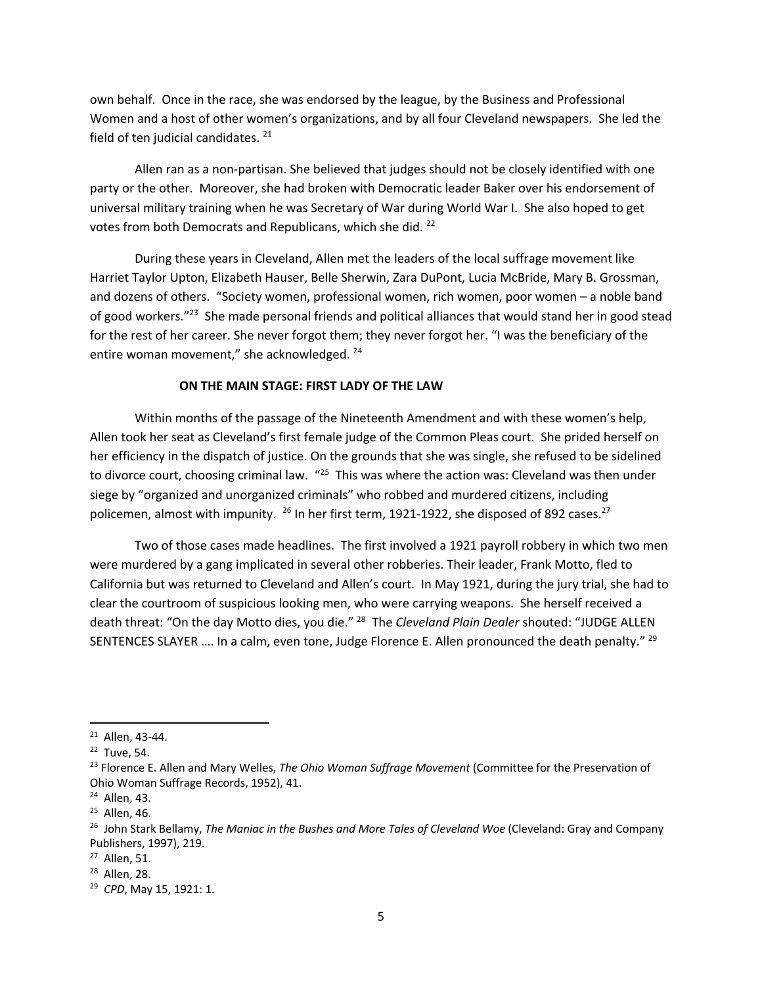own behalf. Once in the race, she was endorsed by the league, by the Business and Professional Women and a host of other women's organizations, and by all four Cleveland newspapers. She led the field of ten judicial candidates.<sup>21</sup>

Allen ran as a non-partisan. She believed that judges should not be closely identified with one party or the other. Moreover, she had broken with Democratic leader Baker over his endorsement of universal military training when he was Secretary of War during World War I. She also hoped to get votes from both Democrats and Republicans, which she did. 22

During these years in Cleveland, Allen met the leaders of the local suffrage movement like Harriet Taylor Upton, Elizabeth Hauser, Belle Sherwin, Zara DuPont, Lucia McBride, Mary B. Grossman, and dozens of others. "Society women, professional women, rich women, poor women – a noble band of good workers."23 She made personal friends and political alliances that would stand her in good stead for the rest of her career. She never forgot them; they never forgot her. "I was the beneficiary of the entire woman movement," she acknowledged. <sup>24</sup>

### **ON THE MAIN STAGE: FIRST LADY OF THE LAW**

Within months of the passage of the Nineteenth Amendment and with these women's help, Allen took her seat as Cleveland's first female judge of the Common Pleas court. She prided herself on her efficiency in the dispatch of justice. On the grounds that she was single, she refused to be sidelined to divorce court, choosing criminal law. "<sup>25</sup> This was where the action was: Cleveland was then under siege by "organized and unorganized criminals" who robbed and murdered citizens, including policemen, almost with impunity.  $^{26}$  In her first term, 1921-1922, she disposed of 892 cases.<sup>27</sup>

Two of those cases made headlines. The first involved a 1921 payroll robbery in which two men were murdered by a gang implicated in several other robberies. Their leader, Frank Motto, fled to California but was returned to Cleveland and Allen's court. In May 1921, during the jury trial, she had to clear the courtroom of suspicious looking men, who were carrying weapons. She herself received a death threat: "On the day Motto dies, you die." <sup>28</sup> The *Cleveland Plain Dealer* shouted: "JUDGE ALLEN SENTENCES SLAYER .... In a calm, even tone, Judge Florence E. Allen pronounced the death penalty." <sup>29</sup>

 $21$  Allen, 43-44.<br> $22$  Tuve, 54.

<sup>23</sup> Florence E. Allen and Mary Welles, *The Ohio Woman Suffrage Movement* (Committee for the Preservation of Ohio Woman Suffrage Records, 1952), 41.

<sup>24</sup> Allen, 43.

<sup>&</sup>lt;sup>25</sup> Allen, 46.

<sup>26</sup> John Stark Bellamy, *The Maniac in the Bushes and More Tales of Cleveland Woe* (Cleveland: Gray and Company Publishers, 1997), 219.

<sup>27</sup> Allen, 51.

<sup>28</sup> Allen, 28.

<sup>29</sup> *CPD*, May 15, 1921: 1.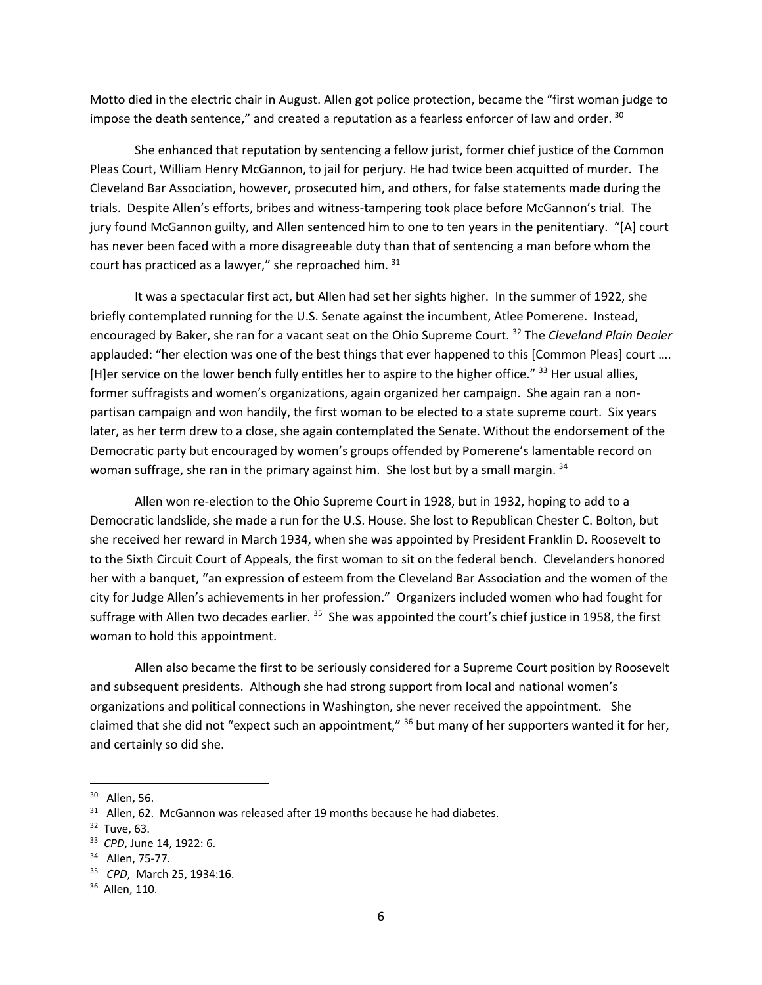Motto died in the electric chair in August. Allen got police protection, became the "first woman judge to impose the death sentence," and created a reputation as a fearless enforcer of law and order.  $30$ 

She enhanced that reputation by sentencing a fellow jurist, former chief justice of the Common Pleas Court, William Henry McGannon, to jail for perjury. He had twice been acquitted of murder. The Cleveland Bar Association, however, prosecuted him, and others, for false statements made during the trials. Despite Allen's efforts, bribes and witness-tampering took place before McGannon's trial. The jury found McGannon guilty, and Allen sentenced him to one to ten years in the penitentiary. "[A] court has never been faced with a more disagreeable duty than that of sentencing a man before whom the court has practiced as a lawyer," she reproached him. 31

It was a spectacular first act, but Allen had set her sights higher. In the summer of 1922, she briefly contemplated running for the U.S. Senate against the incumbent, Atlee Pomerene. Instead, encouraged by Baker, she ran for a vacant seat on the Ohio Supreme Court. 32 The *Cleveland Plain Dealer* applauded: "her election was one of the best things that ever happened to this [Common Pleas] court .... [H]er service on the lower bench fully entitles her to aspire to the higher office." 33 Her usual allies, former suffragists and women's organizations, again organized her campaign. She again ran a nonpartisan campaign and won handily, the first woman to be elected to a state supreme court. Six years later, as her term drew to a close, she again contemplated the Senate. Without the endorsement of the Democratic party but encouraged by women's groups offended by Pomerene's lamentable record on woman suffrage, she ran in the primary against him. She lost but by a small margin. 34

Allen won re-election to the Ohio Supreme Court in 1928, but in 1932, hoping to add to a Democratic landslide, she made a run for the U.S. House. She lost to Republican Chester C. Bolton, but she received her reward in March 1934, when she was appointed by President Franklin D. Roosevelt to to the Sixth Circuit Court of Appeals, the first woman to sit on the federal bench. Clevelanders honored her with a banquet, "an expression of esteem from the Cleveland Bar Association and the women of the city for Judge Allen's achievements in her profession." Organizers included women who had fought for suffrage with Allen two decades earlier. <sup>35</sup> She was appointed the court's chief justice in 1958, the first woman to hold this appointment.

Allen also became the first to be seriously considered for a Supreme Court position by Roosevelt and subsequent presidents. Although she had strong support from local and national women's organizations and political connections in Washington, she never received the appointment. She claimed that she did not "expect such an appointment," <sup>36</sup> but many of her supporters wanted it for her, and certainly so did she.

<sup>30</sup> Allen, 56.

 $31$  Allen, 62. McGannon was released after 19 months because he had diabetes.

<sup>32</sup> Tuve, 63.

<sup>33</sup> *CPD*, June 14, 1922: 6.

<sup>34</sup> Allen, 75-77.

<sup>35</sup> *CPD*, March 25, 1934:16.

<sup>36</sup> Allen, 110.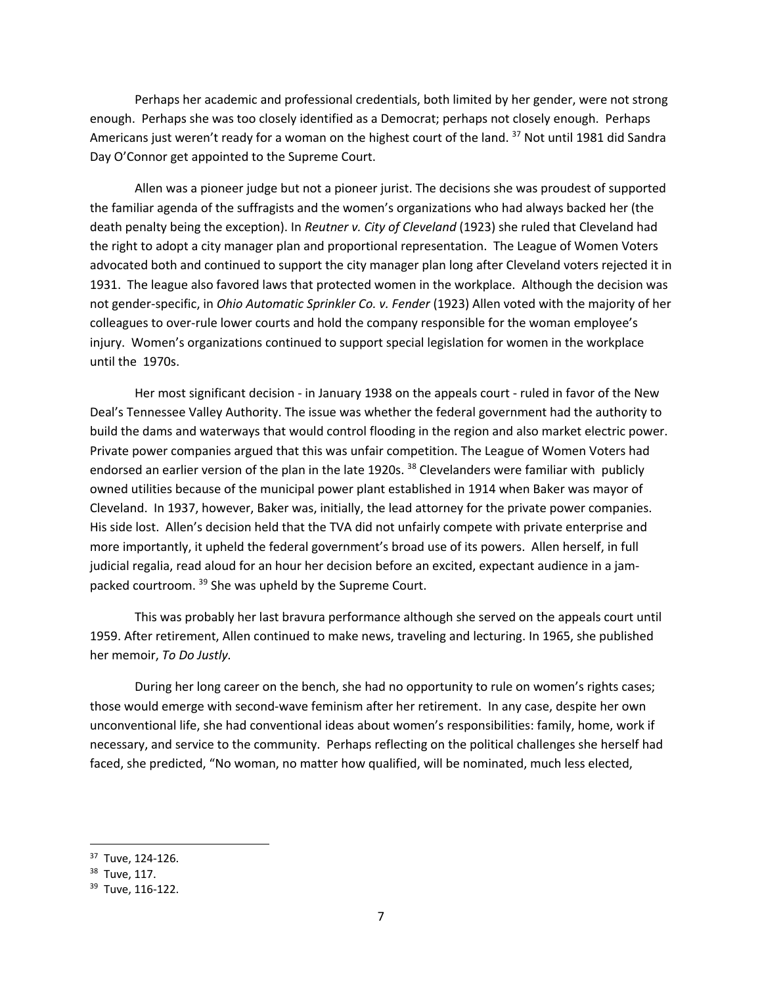Perhaps her academic and professional credentials, both limited by her gender, were not strong enough. Perhaps she was too closely identified as a Democrat; perhaps not closely enough. Perhaps Americans just weren't ready for a woman on the highest court of the land. <sup>37</sup> Not until 1981 did Sandra Day O'Connor get appointed to the Supreme Court.

Allen was a pioneer judge but not a pioneer jurist. The decisions she was proudest of supported the familiar agenda of the suffragists and the women's organizations who had always backed her (the death penalty being the exception). In *Reutner v. City of Cleveland* (1923) she ruled that Cleveland had the right to adopt a city manager plan and proportional representation. The League of Women Voters advocated both and continued to support the city manager plan long after Cleveland voters rejected it in 1931. The league also favored laws that protected women in the workplace. Although the decision was not gender-specific, in *Ohio Automatic Sprinkler Co. v. Fender* (1923) Allen voted with the majority of her colleagues to over-rule lower courts and hold the company responsible for the woman employee's injury. Women's organizations continued to support special legislation for women in the workplace until the 1970s.

Her most significant decision - in January 1938 on the appeals court - ruled in favor of the New Deal's Tennessee Valley Authority. The issue was whether the federal government had the authority to build the dams and waterways that would control flooding in the region and also market electric power. Private power companies argued that this was unfair competition. The League of Women Voters had endorsed an earlier version of the plan in the late 1920s.<sup>38</sup> Clevelanders were familiar with publicly owned utilities because of the municipal power plant established in 1914 when Baker was mayor of Cleveland. In 1937, however, Baker was, initially, the lead attorney for the private power companies. His side lost. Allen's decision held that the TVA did not unfairly compete with private enterprise and more importantly, it upheld the federal government's broad use of its powers. Allen herself, in full judicial regalia, read aloud for an hour her decision before an excited, expectant audience in a jampacked courtroom. 39 She was upheld by the Supreme Court.

This was probably her last bravura performance although she served on the appeals court until 1959. After retirement, Allen continued to make news, traveling and lecturing. In 1965, she published her memoir, *To Do Justly.* 

During her long career on the bench, she had no opportunity to rule on women's rights cases; those would emerge with second-wave feminism after her retirement. In any case, despite her own unconventional life, she had conventional ideas about women's responsibilities: family, home, work if necessary, and service to the community. Perhaps reflecting on the political challenges she herself had faced, she predicted, "No woman, no matter how qualified, will be nominated, much less elected,

<sup>37</sup> Tuve, 124-126.

<sup>&</sup>lt;sup>38</sup> Tuve, 117.<br><sup>39</sup> Tuve, 116-122.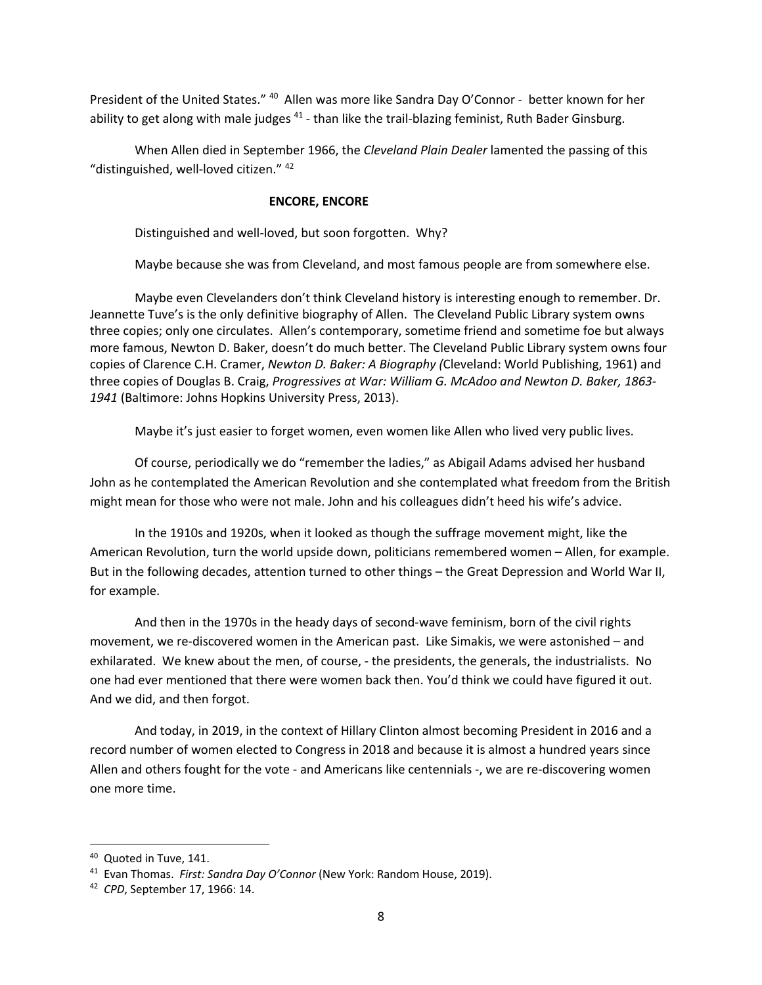President of the United States." <sup>40</sup> Allen was more like Sandra Day O'Connor - better known for her ability to get along with male judges <sup>41</sup> - than like the trail-blazing feminist, Ruth Bader Ginsburg.

When Allen died in September 1966, the *Cleveland Plain Dealer* lamented the passing of this "distinguished, well-loved citizen." 42

### **ENCORE, ENCORE**

Distinguished and well-loved, but soon forgotten. Why?

Maybe because she was from Cleveland, and most famous people are from somewhere else.

Maybe even Clevelanders don't think Cleveland history is interesting enough to remember. Dr. Jeannette Tuve's is the only definitive biography of Allen. The Cleveland Public Library system owns three copies; only one circulates. Allen's contemporary, sometime friend and sometime foe but always more famous, Newton D. Baker, doesn't do much better. The Cleveland Public Library system owns four copies of Clarence C.H. Cramer, *Newton D. Baker: A Biography (*Cleveland: World Publishing, 1961) and three copies of Douglas B. Craig, *Progressives at War: William G. McAdoo and Newton D. Baker, 1863- 1941* (Baltimore: Johns Hopkins University Press, 2013).

Maybe it's just easier to forget women, even women like Allen who lived very public lives.

Of course, periodically we do "remember the ladies," as Abigail Adams advised her husband John as he contemplated the American Revolution and she contemplated what freedom from the British might mean for those who were not male. John and his colleagues didn't heed his wife's advice.

In the 1910s and 1920s, when it looked as though the suffrage movement might, like the American Revolution, turn the world upside down, politicians remembered women – Allen, for example. But in the following decades, attention turned to other things – the Great Depression and World War II, for example.

And then in the 1970s in the heady days of second-wave feminism, born of the civil rights movement, we re-discovered women in the American past. Like Simakis, we were astonished – and exhilarated. We knew about the men, of course, - the presidents, the generals, the industrialists. No one had ever mentioned that there were women back then. You'd think we could have figured it out. And we did, and then forgot.

And today, in 2019, in the context of Hillary Clinton almost becoming President in 2016 and a record number of women elected to Congress in 2018 and because it is almost a hundred years since Allen and others fought for the vote - and Americans like centennials -, we are re-discovering women one more time.

<sup>40</sup> Quoted in Tuve, 141.

<sup>41</sup> Evan Thomas. *First: Sandra Day O'Connor* (New York: Random House, 2019).

<sup>42</sup> *CPD*, September 17, 1966: 14.